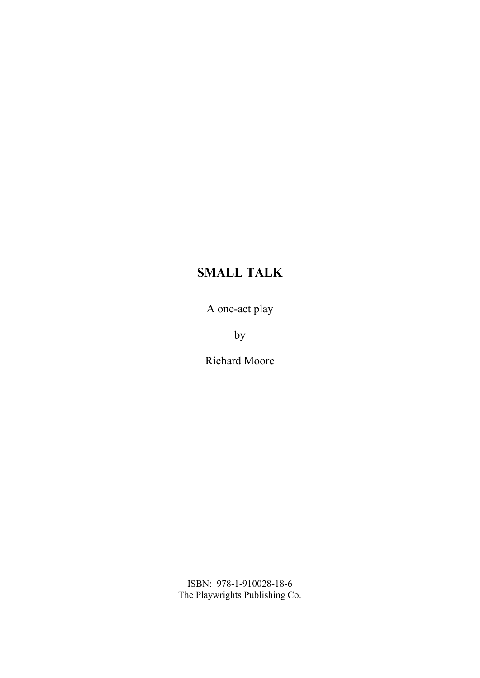A one-act play

by

Richard Moore

ISBN: 978-1-910028-18-6 The Playwrights Publishing Co.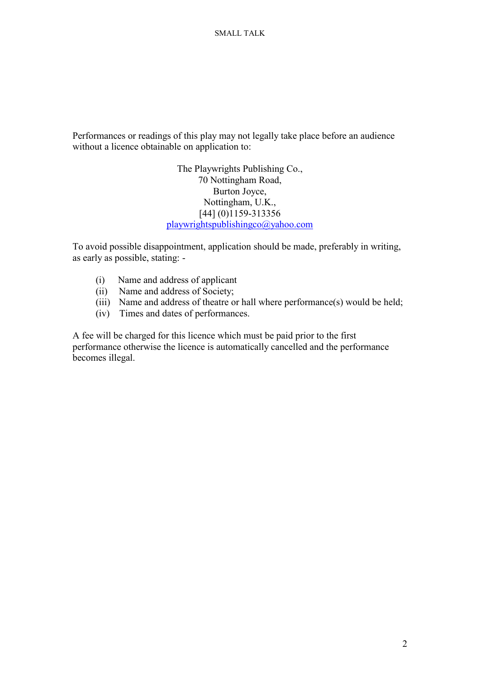Performances or readings of this play may not legally take place before an audience without a licence obtainable on application to:

> The Playwrights Publishing Co., 70 Nottingham Road, Burton Joyce, Nottingham, U.K., [44] (0)1159-313356 playwrightspublishingco@yahoo.com

To avoid possible disappointment, application should be made, preferably in writing, as early as possible, stating: -

- (i) Name and address of applicant
- (ii) Name and address of Society;
- (iii) Name and address of theatre or hall where performance(s) would be held;
- (iv) Times and dates of performances.

A fee will be charged for this licence which must be paid prior to the first performance otherwise the licence is automatically cancelled and the performance becomes illegal.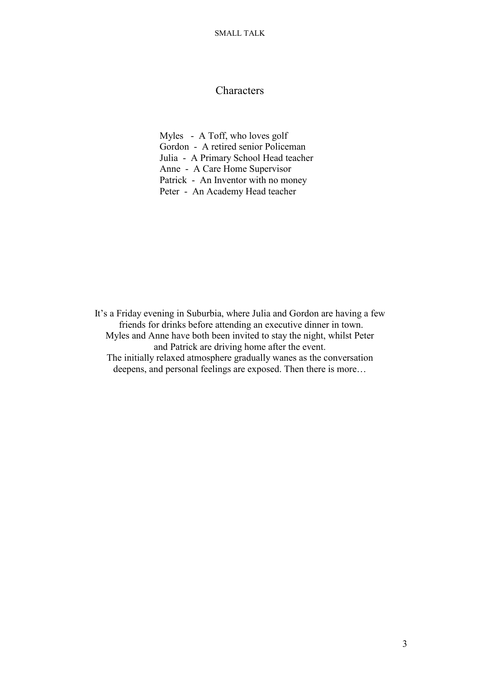# **Characters**

Myles - A Toff, who loves golf Gordon - A retired senior Policeman Julia - A Primary School Head teacher Anne - A Care Home Supervisor Patrick - An Inventor with no money Peter - An Academy Head teacher

It's a Friday evening in Suburbia, where Julia and Gordon are having a few friends for drinks before attending an executive dinner in town. Myles and Anne have both been invited to stay the night, whilst Peter and Patrick are driving home after the event. The initially relaxed atmosphere gradually wanes as the conversation deepens, and personal feelings are exposed. Then there is more…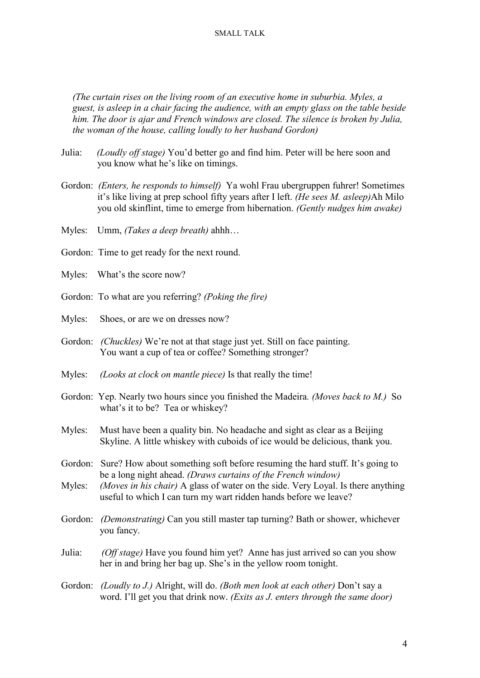*(The curtain rises on the living room of an executive home in suburbia. Myles, a guest, is asleep in a chair facing the audience, with an empty glass on the table beside him. The door is ajar and French windows are closed. The silence is broken by Julia, the woman of the house, calling loudly to her husband Gordon)*

- Julia: *(Loudly off stage)* You'd better go and find him. Peter will be here soon and you know what he's like on timings.
- Gordon: *(Enters, he responds to himself)* Ya wohl Frau ubergruppen fuhrer! Sometimes it's like living at prep school fifty years after I left. *(He sees M. asleep)*Ah Milo you old skinflint, time to emerge from hibernation. *(Gently nudges him awake)*
- Myles: Umm, *(Takes a deep breath)* ahhh…
- Gordon: Time to get ready for the next round.
- Myles: What's the score now?
- Gordon: To what are you referring? *(Poking the fire)*
- Myles: Shoes, or are we on dresses now?
- Gordon: *(Chuckles)* We're not at that stage just yet. Still on face painting. You want a cup of tea or coffee? Something stronger?
- Myles: *(Looks at clock on mantle piece)* Is that really the time!
- Gordon: Yep. Nearly two hours since you finished the Madeira*. (Moves back to M.)* So what's it to be? Tea or whiskey?
- Myles: Must have been a quality bin. No headache and sight as clear as a Beijing Skyline. A little whiskey with cuboids of ice would be delicious, thank you.
- Gordon: Sure? How about something soft before resuming the hard stuff. It's going to be a long night ahead. *(Draws curtains of the French window)*
- Myles: *(Moves in his chair)* A glass of water on the side. Very Loyal. Is there anything useful to which I can turn my wart ridden hands before we leave?
- Gordon: *(Demonstrating)* Can you still master tap turning? Bath or shower, whichever you fancy.
- Julia: *(Off stage)* Have you found him yet? Anne has just arrived so can you show her in and bring her bag up. She's in the yellow room tonight.
- Gordon: *(Loudly to J.)* Alright, will do. *(Both men look at each other)* Don't say a word. I'll get you that drink now. *(Exits as J. enters through the same door)*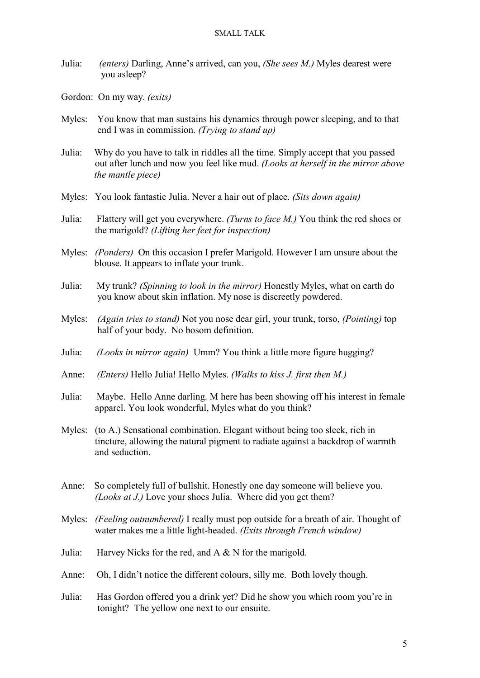- Julia: *(enters)* Darling, Anne's arrived, can you, *(She sees M.)* Myles dearest were you asleep?
- Gordon: On my way. *(exits)*
- Myles: You know that man sustains his dynamics through power sleeping, and to that end I was in commission. *(Trying to stand up)*
- Julia: Why do you have to talk in riddles all the time. Simply accept that you passed out after lunch and now you feel like mud. *(Looks at herself in the mirror above the mantle piece)*
- Myles: You look fantastic Julia. Never a hair out of place. *(Sits down again)*
- Julia: Flattery will get you everywhere. *(Turns to face M.)* You think the red shoes or the marigold? *(Lifting her feet for inspection)*
- Myles: *(Ponders)* On this occasion I prefer Marigold. However I am unsure about the blouse. It appears to inflate your trunk.
- Julia: My trunk? *(Spinning to look in the mirror)* Honestly Myles, what on earth do you know about skin inflation. My nose is discreetly powdered.
- Myles: *(Again tries to stand)* Not you nose dear girl, your trunk, torso, *(Pointing)* top half of your body. No bosom definition.
- Julia: *(Looks in mirror again)* Umm? You think a little more figure hugging?
- Anne: *(Enters)* Hello Julia! Hello Myles. *(Walks to kiss J. first then M.)*
- Julia: Maybe. Hello Anne darling. M here has been showing off his interest in female apparel. You look wonderful, Myles what do you think?
- Myles: (to A.) Sensational combination. Elegant without being too sleek, rich in tincture, allowing the natural pigment to radiate against a backdrop of warmth and seduction.
- Anne: So completely full of bullshit. Honestly one day someone will believe you. *(Looks at J.)* Love your shoes Julia. Where did you get them?
- Myles: *(Feeling outnumbered)* I really must pop outside for a breath of air. Thought of water makes me a little light-headed. *(Exits through French window)*
- Julia: Harvey Nicks for the red, and A & N for the marigold.
- Anne: Oh, I didn't notice the different colours, silly me. Both lovely though.
- Julia: Has Gordon offered you a drink yet? Did he show you which room you're in tonight? The yellow one next to our ensuite.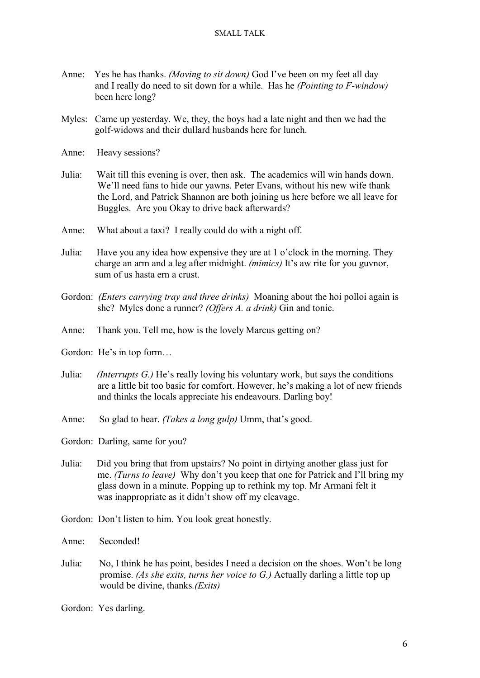- Anne: Yes he has thanks. *(Moving to sit down)* God I've been on my feet all day and I really do need to sit down for a while. Has he *(Pointing to F-window)* been here long?
- Myles: Came up yesterday. We, they, the boys had a late night and then we had the golf-widows and their dullard husbands here for lunch.
- Anne: Heavy sessions?
- Julia: Wait till this evening is over, then ask. The academics will win hands down. We'll need fans to hide our yawns. Peter Evans, without his new wife thank the Lord, and Patrick Shannon are both joining us here before we all leave for Buggles. Are you Okay to drive back afterwards?
- Anne: What about a taxi? I really could do with a night off.
- Julia: Have you any idea how expensive they are at 1 o'clock in the morning. They charge an arm and a leg after midnight. *(mimics)* It's aw rite for you guvnor, sum of us hasta ern a crust.
- Gordon: *(Enters carrying tray and three drinks)* Moaning about the hoi polloi again is she? Myles done a runner? *(Offers A. a drink)* Gin and tonic.
- Anne: Thank you. Tell me, how is the lovely Marcus getting on?
- Gordon: He's in top form…
- Julia: *(Interrupts G.)* He's really loving his voluntary work, but says the conditions are a little bit too basic for comfort. However, he's making a lot of new friends and thinks the locals appreciate his endeavours. Darling boy!
- Anne: So glad to hear. *(Takes a long gulp)* Umm, that's good.

Gordon: Darling, same for you?

- Julia: Did you bring that from upstairs? No point in dirtying another glass just for me. *(Turns to leave)* Why don't you keep that one for Patrick and I'll bring my glass down in a minute. Popping up to rethink my top. Mr Armani felt it was inappropriate as it didn't show off my cleavage.
- Gordon: Don't listen to him. You look great honestly.

Anne: Seconded!

Julia: No, I think he has point, besides I need a decision on the shoes. Won't be long promise. *(As she exits, turns her voice to G.)* Actually darling a little top up would be divine, thanks*.(Exits)*

Gordon: Yes darling.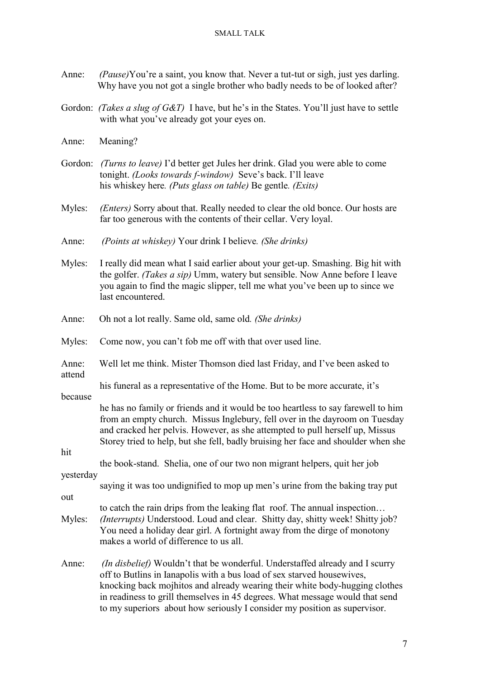- Anne: *(Pause)*You're a saint, you know that. Never a tut-tut or sigh, just yes darling. Why have you not got a single brother who badly needs to be of looked after?
- Gordon: *(Takes a slug of G&T)* I have, but he's in the States. You'll just have to settle with what you've already got your eyes on.
- Anne: Meaning?
- Gordon: *(Turns to leave)* I'd better get Jules her drink. Glad you were able to come tonight. *(Looks towards f-window)* Seve's back. I'll leave his whiskey here*. (Puts glass on table)* Be gentle*. (Exits)*
- Myles: *(Enters)* Sorry about that. Really needed to clear the old bonce. Our hosts are far too generous with the contents of their cellar. Very loyal.
- Anne: *(Points at whiskey)* Your drink I believe*. (She drinks)*
- Myles: I really did mean what I said earlier about your get-up. Smashing. Big hit with the golfer. *(Takes a sip)* Umm, watery but sensible. Now Anne before I leave you again to find the magic slipper, tell me what you've been up to since we last encountered.
- Anne: Oh not a lot really. Same old, same old*. (She drinks)*
- Myles: Come now, you can't fob me off with that over used line.
- Anne: Well let me think. Mister Thomson died last Friday, and I've been asked to attend
	- his funeral as a representative of the Home. But to be more accurate, it's

because

 he has no family or friends and it would be too heartless to say farewell to him from an empty church. Missus Inglebury, fell over in the dayroom on Tuesday and cracked her pelvis. However, as she attempted to pull herself up, Missus Storey tried to help, but she fell, badly bruising her face and shoulder when she

hit

 the book-stand. Shelia, one of our two non migrant helpers, quit her job yesterday

saying it was too undignified to mop up men's urine from the baking tray put

out

- to catch the rain drips from the leaking flat roof. The annual inspection… Myles: *(Interrupts)* Understood. Loud and clear. Shitty day, shitty week! Shitty job? You need a holiday dear girl. A fortnight away from the dirge of monotony makes a world of difference to us all.
- Anne: *(In disbelief)* Wouldn't that be wonderful. Understaffed already and I scurry off to Butlins in Ianapolis with a bus load of sex starved housewives, knocking back mojhitos and already wearing their white body-hugging clothes in readiness to grill themselves in 45 degrees. What message would that send to my superiors about how seriously I consider my position as supervisor.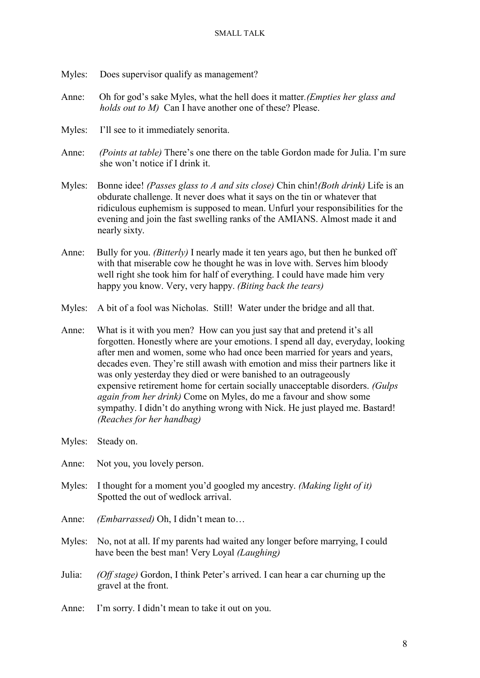- Myles: Does supervisor qualify as management?
- Anne: Oh for god's sake Myles, what the hell does it matter*.(Empties her glass and holds out to M)* Can I have another one of these? Please.
- Myles: I'll see to it immediately senorita.
- Anne: *(Points at table)* There's one there on the table Gordon made for Julia. I'm sure she won't notice if I drink it.
- Myles: Bonne idee! *(Passes glass to A and sits close)* Chin chin!*(Both drink)* Life is an obdurate challenge. It never does what it says on the tin or whatever that ridiculous euphemism is supposed to mean. Unfurl your responsibilities for the evening and join the fast swelling ranks of the AMIANS. Almost made it and nearly sixty.
- Anne: Bully for you. *(Bitterly)* I nearly made it ten years ago, but then he bunked off with that miserable cow he thought he was in love with. Serves him bloody well right she took him for half of everything. I could have made him very happy you know. Very, very happy. *(Biting back the tears)*
- Myles: A bit of a fool was Nicholas. Still! Water under the bridge and all that.
- Anne: What is it with you men? How can you just say that and pretend it's all forgotten. Honestly where are your emotions. I spend all day, everyday, looking after men and women, some who had once been married for years and years, decades even. They're still awash with emotion and miss their partners like it was only yesterday they died or were banished to an outrageously expensive retirement home for certain socially unacceptable disorders. *(Gulps again from her drink)* Come on Myles, do me a favour and show some sympathy. I didn't do anything wrong with Nick. He just played me. Bastard! *(Reaches for her handbag)*
- Myles: Steady on.
- Anne: Not you, you lovely person.
- Myles: I thought for a moment you'd googled my ancestry. *(Making light of it)* Spotted the out of wedlock arrival.
- Anne: *(Embarrassed)* Oh, I didn't mean to…
- Myles: No, not at all. If my parents had waited any longer before marrying, I could have been the best man! Very Loyal *(Laughing)*
- Julia: *(Off stage)* Gordon, I think Peter's arrived. I can hear a car churning up the gravel at the front.
- Anne: I'm sorry. I didn't mean to take it out on you.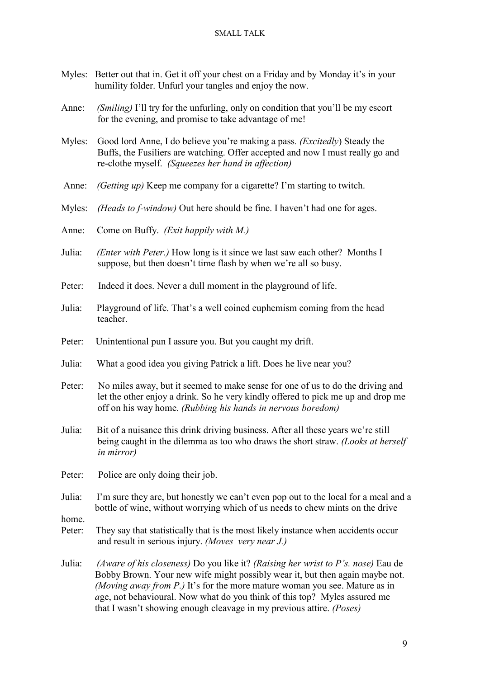- Myles: Better out that in. Get it off your chest on a Friday and by Monday it's in your humility folder. Unfurl your tangles and enjoy the now.
- Anne: *(Smiling)* I'll try for the unfurling, only on condition that you'll be my escort for the evening, and promise to take advantage of me!
- Myles: Good lord Anne, I do believe you're making a pass*. (Excitedly*) Steady the Buffs, the Fusiliers are watching. Offer accepted and now I must really go and re-clothe myself. *(Squeezes her hand in affection)*
- Anne: *(Getting up)* Keep me company for a cigarette? I'm starting to twitch.
- Myles: *(Heads to f-window)* Out here should be fine. I haven't had one for ages.
- Anne: Come on Buffy. *(Exit happily with M.)*
- Julia: *(Enter with Peter.)* How long is it since we last saw each other? Months I suppose, but then doesn't time flash by when we're all so busy.
- Peter: Indeed it does. Never a dull moment in the playground of life.
- Julia: Playground of life. That's a well coined euphemism coming from the head teacher.
- Peter: Unintentional pun I assure you. But you caught my drift.
- Julia: What a good idea you giving Patrick a lift. Does he live near you?
- Peter: No miles away, but it seemed to make sense for one of us to do the driving and let the other enjoy a drink. So he very kindly offered to pick me up and drop me off on his way home. *(Rubbing his hands in nervous boredom)*
- Julia: Bit of a nuisance this drink driving business. After all these years we're still being caught in the dilemma as too who draws the short straw. *(Looks at herself in mirror)*
- Peter: Police are only doing their job.
- Julia: I'm sure they are, but honestly we can't even pop out to the local for a meal and a bottle of wine, without worrying which of us needs to chew mints on the drive

home.

- Peter: They say that statistically that is the most likely instance when accidents occur and result in serious injury. *(Moves very near J.)*
- Julia: *(Aware of his closeness)* Do you like it? *(Raising her wrist to P's. nose)* Eau de Bobby Brown. Your new wife might possibly wear it, but then again maybe not. *(Moving away from P.)* It's for the more mature woman you see. Mature as in  *a*ge, not behavioural. Now what do you think of this top? Myles assured me that I wasn't showing enough cleavage in my previous attire. *(Poses)*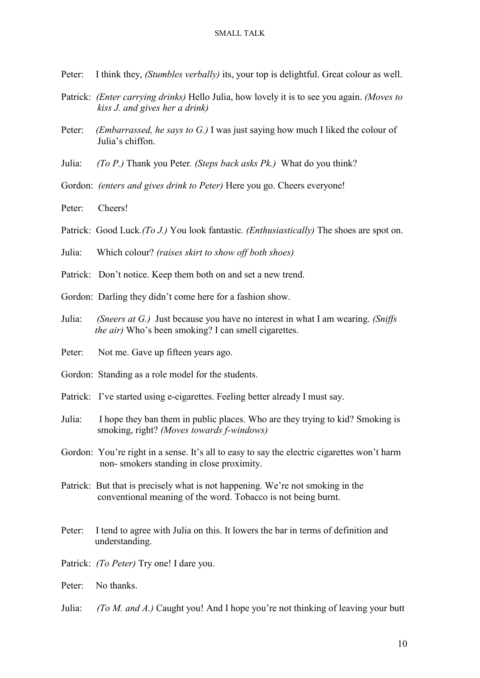- Peter: I think they, *(Stumbles verbally)* its, your top is delightful. Great colour as well.
- Patrick: *(Enter carrying drinks)* Hello Julia, how lovely it is to see you again. *(Moves to kiss J. and gives her a drink)*
- Peter: *(Embarrassed, he says to G.)* I was just saying how much I liked the colour of Julia's chiffon.
- Julia: *(To P.)* Thank you Peter*. (Steps back asks Pk.)* What do you think?
- Gordon: *(enters and gives drink to Peter)* Here you go. Cheers everyone!
- Peter: Cheers!
- Patrick: Good Luck*.(To J.)* You look fantastic*. (Enthusiastically)* The shoes are spot on.
- Julia: Which colour? *(raises skirt to show off both shoes)*
- Patrick: Don't notice. Keep them both on and set a new trend.
- Gordon: Darling they didn't come here for a fashion show.
- Julia: *(Sneers at G.)* Just because you have no interest in what I am wearing. *(Sniffs the air*) Who's been smoking? I can smell cigarettes.
- Peter: Not me. Gave up fifteen years ago.
- Gordon: Standing as a role model for the students.
- Patrick: I've started using e-cigarettes. Feeling better already I must say.
- Julia: I hope they ban them in public places. Who are they trying to kid? Smoking is smoking, right? *(Moves towards f-windows)*
- Gordon: You're right in a sense. It's all to easy to say the electric cigarettes won't harm non- smokers standing in close proximity.
- Patrick: But that is precisely what is not happening. We're not smoking in the conventional meaning of the word. Tobacco is not being burnt.
- Peter: I tend to agree with Julia on this. It lowers the bar in terms of definition and understanding.
- Patrick: *(To Peter)* Try one! I dare you.
- Peter: No thanks
- Julia: *(To M. and A.)* Caught you! And I hope you're not thinking of leaving your butt